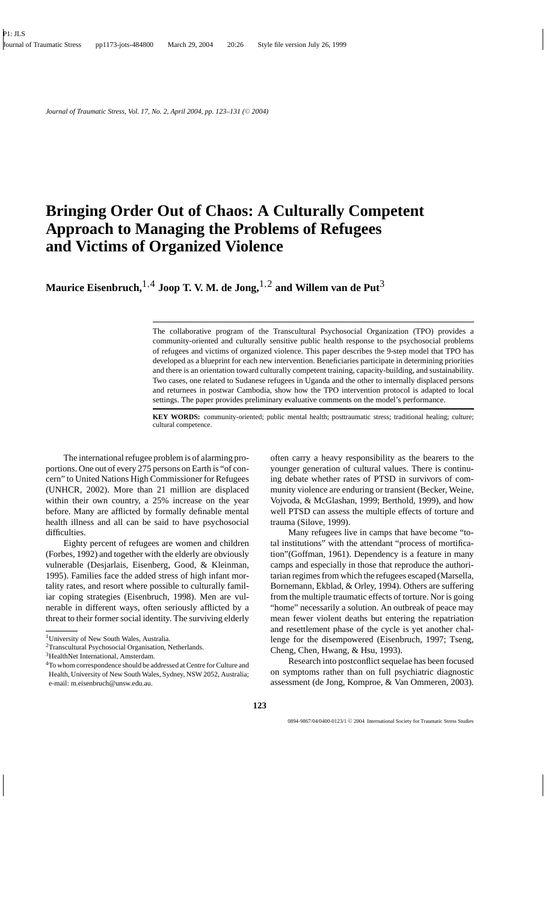# **Bringing Order Out of Chaos: A Culturally Competent Approach to Managing the Problems of Refugees and Victims of Organized Violence**

**Maurice Eisenbruch,**1,4 **Joop T. V. M. de Jong,**1,2 **and Willem van de Put**3

The collaborative program of the Transcultural Psychosocial Organization (TPO) provides a community-oriented and culturally sensitive public health response to the psychosocial problems of refugees and victims of organized violence. This paper describes the 9-step model that TPO has developed as a blueprint for each new intervention. Beneficiaries participate in determining priorities and there is an orientation toward culturally competent training, capacity-building, and sustainability. Two cases, one related to Sudanese refugees in Uganda and the other to internally displaced persons and returnees in postwar Cambodia, show how the TPO intervention protocol is adapted to local settings. The paper provides preliminary evaluative comments on the model's performance.

**KEY WORDS:** community-oriented; public mental health; posttraumatic stress; traditional healing; culture; cultural competence.

The international refugee problem is of alarming proportions. One out of every 275 persons on Earth is "of concern" to United Nations High Commissioner for Refugees (UNHCR, 2002). More than 21 million are displaced within their own country, a 25% increase on the year before. Many are afflicted by formally definable mental health illness and all can be said to have psychosocial difficulties.

Eighty percent of refugees are women and children (Forbes, 1992) and together with the elderly are obviously vulnerable (Desjarlais, Eisenberg, Good, & Kleinman, 1995). Families face the added stress of high infant mortality rates, and resort where possible to culturally familiar coping strategies (Eisenbruch, 1998). Men are vulnerable in different ways, often seriously afflicted by a threat to their former social identity. The surviving elderly often carry a heavy responsibility as the bearers to the younger generation of cultural values. There is continuing debate whether rates of PTSD in survivors of community violence are enduring or transient (Becker, Weine, Vojvoda, & McGlashan, 1999; Berthold, 1999), and how well PTSD can assess the multiple effects of torture and trauma (Silove, 1999).

Many refugees live in camps that have become "total institutions" with the attendant "process of mortification"(Goffman, 1961). Dependency is a feature in many camps and especially in those that reproduce the authoritarian regimes from which the refugees escaped (Marsella, Bornemann, Ekblad, & Orley, 1994). Others are suffering from the multiple traumatic effects of torture. Nor is going "home" necessarily a solution. An outbreak of peace may mean fewer violent deaths but entering the repatriation and resettlement phase of the cycle is yet another challenge for the disempowered (Eisenbruch, 1997; Tseng, Cheng, Chen, Hwang, & Hsu, 1993).

Research into postconflict sequelae has been focused on symptoms rather than on full psychiatric diagnostic assessment (de Jong, Komproe, & Van Ommeren, 2003).

<sup>1</sup>University of New South Wales, Australia.

<sup>2</sup>Transcultural Psychosocial Organisation, Netherlands.

<sup>3</sup>HealthNet International, Amsterdam.

<sup>4</sup>To whom correspondence should be addressed at Centre for Culture and Health, University of New South Wales, Sydney, NSW 2052, Australia; e-mail: m.eisenbruch@unsw.edu.au.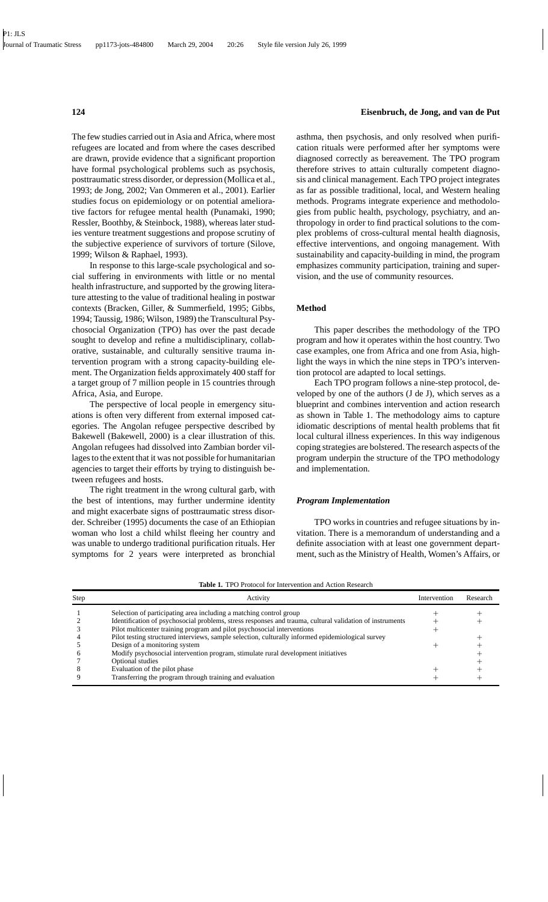The few studies carried out in Asia and Africa, where most refugees are located and from where the cases described are drawn, provide evidence that a significant proportion have formal psychological problems such as psychosis, posttraumatic stress disorder, or depression (Mollica et al., 1993; de Jong, 2002; Van Ommeren et al., 2001). Earlier studies focus on epidemiology or on potential ameliorative factors for refugee mental health (Punamaki, 1990; Ressler, Boothby, & Steinbock, 1988), whereas later studies venture treatment suggestions and propose scrutiny of the subjective experience of survivors of torture (Silove, 1999; Wilson & Raphael, 1993).

In response to this large-scale psychological and social suffering in environments with little or no mental health infrastructure, and supported by the growing literature attesting to the value of traditional healing in postwar contexts (Bracken, Giller, & Summerfield, 1995; Gibbs, 1994; Taussig, 1986; Wilson, 1989) the Transcultural Psychosocial Organization (TPO) has over the past decade sought to develop and refine a multidisciplinary, collaborative, sustainable, and culturally sensitive trauma intervention program with a strong capacity-building element. The Organization fields approximately 400 staff for a target group of 7 million people in 15 countries through Africa, Asia, and Europe.

The perspective of local people in emergency situations is often very different from external imposed categories. The Angolan refugee perspective described by Bakewell (Bakewell, 2000) is a clear illustration of this. Angolan refugees had dissolved into Zambian border villages to the extent that it was not possible for humanitarian agencies to target their efforts by trying to distinguish between refugees and hosts.

The right treatment in the wrong cultural garb, with the best of intentions, may further undermine identity and might exacerbate signs of posttraumatic stress disorder. Schreiber (1995) documents the case of an Ethiopian woman who lost a child whilst fleeing her country and was unable to undergo traditional purification rituals. Her symptoms for 2 years were interpreted as bronchial

**124 Eisenbruch, de Jong, and van de Put**

asthma, then psychosis, and only resolved when purification rituals were performed after her symptoms were diagnosed correctly as bereavement. The TPO program therefore strives to attain culturally competent diagnosis and clinical management. Each TPO project integrates as far as possible traditional, local, and Western healing methods. Programs integrate experience and methodologies from public health, psychology, psychiatry, and anthropology in order to find practical solutions to the complex problems of cross-cultural mental health diagnosis, effective interventions, and ongoing management. With sustainability and capacity-building in mind, the program emphasizes community participation, training and supervision, and the use of community resources.

# **Method**

This paper describes the methodology of the TPO program and how it operates within the host country. Two case examples, one from Africa and one from Asia, highlight the ways in which the nine steps in TPO's intervention protocol are adapted to local settings.

Each TPO program follows a nine-step protocol, developed by one of the authors (J de J), which serves as a blueprint and combines intervention and action research as shown in Table 1. The methodology aims to capture idiomatic descriptions of mental health problems that fit local cultural illness experiences. In this way indigenous coping strategies are bolstered. The research aspects of the program underpin the structure of the TPO methodology and implementation.

#### *Program Implementation*

TPO works in countries and refugee situations by invitation. There is a memorandum of understanding and a definite association with at least one government department, such as the Ministry of Health, Women's Affairs, or

| <b>Table 1. TPO Protocol for Intervention and Action Research</b> |  |
|-------------------------------------------------------------------|--|
|-------------------------------------------------------------------|--|

| Step | Activity                                                                                                 | Intervention | Research |
|------|----------------------------------------------------------------------------------------------------------|--------------|----------|
|      | Selection of participating area including a matching control group                                       |              |          |
|      | Identification of psychosocial problems, stress responses and trauma, cultural validation of instruments |              |          |
|      | Pilot multicenter training program and pilot psychosocial interventions                                  |              |          |
|      | Pilot testing structured interviews, sample selection, culturally informed epidemiological survey        |              |          |
|      | Design of a monitoring system                                                                            |              |          |
|      | Modify psychosocial intervention program, stimulate rural development initiatives                        |              |          |
|      | Optional studies                                                                                         |              |          |
|      | Evaluation of the pilot phase                                                                            |              |          |
|      | Transferring the program through training and evaluation                                                 |              |          |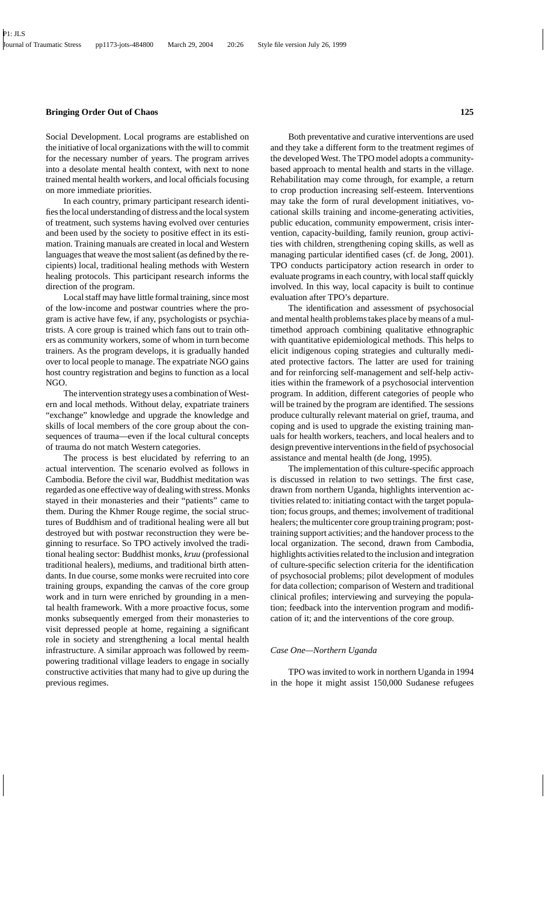#### **Bringing Order Out of Chaos 125**

Social Development. Local programs are established on the initiative of local organizations with the will to commit for the necessary number of years. The program arrives into a desolate mental health context, with next to none trained mental health workers, and local officials focusing on more immediate priorities.

In each country, primary participant research identifies the local understanding of distress and the local system of treatment, such systems having evolved over centuries and been used by the society to positive effect in its estimation. Training manuals are created in local and Western languages that weave the most salient (as defined by the recipients) local, traditional healing methods with Western healing protocols. This participant research informs the direction of the program.

Local staff may have little formal training, since most of the low-income and postwar countries where the program is active have few, if any, psychologists or psychiatrists. A core group is trained which fans out to train others as community workers, some of whom in turn become trainers. As the program develops, it is gradually handed over to local people to manage. The expatriate NGO gains host country registration and begins to function as a local NGO.

The intervention strategy uses a combination of Western and local methods. Without delay, expatriate trainers "exchange" knowledge and upgrade the knowledge and skills of local members of the core group about the consequences of trauma—even if the local cultural concepts of trauma do not match Western categories.

The process is best elucidated by referring to an actual intervention. The scenario evolved as follows in Cambodia. Before the civil war, Buddhist meditation was regarded as one effective way of dealing with stress. Monks stayed in their monasteries and their "patients" came to them. During the Khmer Rouge regime, the social structures of Buddhism and of traditional healing were all but destroyed but with postwar reconstruction they were beginning to resurface. So TPO actively involved the traditional healing sector: Buddhist monks, *kruu* (professional traditional healers), mediums, and traditional birth attendants. In due course, some monks were recruited into core training groups, expanding the canvas of the core group work and in turn were enriched by grounding in a mental health framework. With a more proactive focus, some monks subsequently emerged from their monasteries to visit depressed people at home, regaining a significant role in society and strengthening a local mental health infrastructure. A similar approach was followed by reempowering traditional village leaders to engage in socially constructive activities that many had to give up during the previous regimes.

Both preventative and curative interventions are used and they take a different form to the treatment regimes of the developed West. The TPO model adopts a communitybased approach to mental health and starts in the village. Rehabilitation may come through, for example, a return to crop production increasing self-esteem. Interventions may take the form of rural development initiatives, vocational skills training and income-generating activities, public education, community empowerment, crisis intervention, capacity-building, family reunion, group activities with children, strengthening coping skills, as well as managing particular identified cases (cf. de Jong, 2001). TPO conducts participatory action research in order to evaluate programs in each country, with local staff quickly involved. In this way, local capacity is built to continue evaluation after TPO's departure.

The identification and assessment of psychosocial and mental health problems takes place by means of a multimethod approach combining qualitative ethnographic with quantitative epidemiological methods. This helps to elicit indigenous coping strategies and culturally mediated protective factors. The latter are used for training and for reinforcing self-management and self-help activities within the framework of a psychosocial intervention program. In addition, different categories of people who will be trained by the program are identified. The sessions produce culturally relevant material on grief, trauma, and coping and is used to upgrade the existing training manuals for health workers, teachers, and local healers and to design preventive interventions in the field of psychosocial assistance and mental health (de Jong, 1995).

The implementation of this culture-specific approach is discussed in relation to two settings. The first case, drawn from northern Uganda, highlights intervention activities related to: initiating contact with the target population; focus groups, and themes; involvement of traditional healers; the multicenter core group training program; posttraining support activities; and the handover process to the local organization. The second, drawn from Cambodia, highlights activities related to the inclusion and integration of culture-specific selection criteria for the identification of psychosocial problems; pilot development of modules for data collection; comparison of Western and traditional clinical profiles; interviewing and surveying the population; feedback into the intervention program and modification of it; and the interventions of the core group.

# *Case One—Northern Uganda*

TPO was invited to work in northern Uganda in 1994 in the hope it might assist 150,000 Sudanese refugees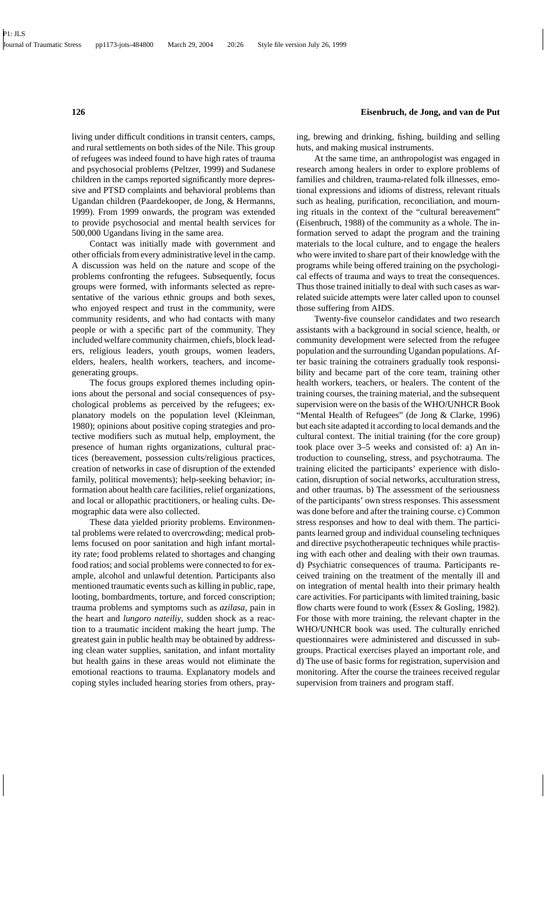living under difficult conditions in transit centers, camps, and rural settlements on both sides of the Nile. This group of refugees was indeed found to have high rates of trauma and psychosocial problems (Peltzer, 1999) and Sudanese children in the camps reported significantly more depressive and PTSD complaints and behavioral problems than Ugandan children (Paardekooper, de Jong, & Hermanns, 1999). From 1999 onwards, the program was extended to provide psychosocial and mental health services for 500,000 Ugandans living in the same area.

Contact was initially made with government and other officials from every administrative level in the camp. A discussion was held on the nature and scope of the problems confronting the refugees. Subsequently, focus groups were formed, with informants selected as representative of the various ethnic groups and both sexes, who enjoyed respect and trust in the community, were community residents, and who had contacts with many people or with a specific part of the community. They included welfare community chairmen, chiefs, block leaders, religious leaders, youth groups, women leaders, elders, healers, health workers, teachers, and incomegenerating groups.

The focus groups explored themes including opinions about the personal and social consequences of psychological problems as perceived by the refugees; explanatory models on the population level (Kleinman, 1980); opinions about positive coping strategies and protective modifiers such as mutual help, employment, the presence of human rights organizations, cultural practices (bereavement, possession cults/religious practices, creation of networks in case of disruption of the extended family, political movements); help-seeking behavior; information about health care facilities, relief organizations, and local or allopathic practitioners, or healing cults. Demographic data were also collected.

These data yielded priority problems. Environmental problems were related to overcrowding; medical problems focused on poor sanitation and high infant mortality rate; food problems related to shortages and changing food ratios; and social problems were connected to for example, alcohol and unlawful detention. Participants also mentioned traumatic events such as killing in public, rape, looting, bombardments, torture, and forced conscription; trauma problems and symptoms such as *azilasa*, pain in the heart and *lungoro nateiliy*, sudden shock as a reaction to a traumatic incident making the heart jump. The greatest gain in public health may be obtained by addressing clean water supplies, sanitation, and infant mortality but health gains in these areas would not eliminate the emotional reactions to trauma. Explanatory models and coping styles included hearing stories from others, pray-

ing, brewing and drinking, fishing, building and selling huts, and making musical instruments.

At the same time, an anthropologist was engaged in research among healers in order to explore problems of families and children, trauma-related folk illnesses, emotional expressions and idioms of distress, relevant rituals such as healing, purification, reconciliation, and mourning rituals in the context of the "cultural bereavement" (Eisenbruch, 1988) of the community as a whole. The information served to adapt the program and the training materials to the local culture, and to engage the healers who were invited to share part of their knowledge with the programs while being offered training on the psychological effects of trauma and ways to treat the consequences. Thus those trained initially to deal with such cases as warrelated suicide attempts were later called upon to counsel those suffering from AIDS.

Twenty-five counselor candidates and two research assistants with a background in social science, health, or community development were selected from the refugee population and the surrounding Ugandan populations. After basic training the cotrainers gradually took responsibility and became part of the core team, training other health workers, teachers, or healers. The content of the training courses, the training material, and the subsequent supervision were on the basis of the WHO/UNHCR Book "Mental Health of Refugees" (de Jong & Clarke, 1996) but each site adapted it according to local demands and the cultural context. The initial training (for the core group) took place over 3–5 weeks and consisted of: a) An introduction to counseling, stress, and psychotrauma. The training elicited the participants' experience with dislocation, disruption of social networks, acculturation stress, and other traumas. b) The assessment of the seriousness of the participants' own stress responses. This assessment was done before and after the training course. c) Common stress responses and how to deal with them. The participants learned group and individual counseling techniques and directive psychotherapeutic techniques while practising with each other and dealing with their own traumas. d) Psychiatric consequences of trauma. Participants received training on the treatment of the mentally ill and on integration of mental health into their primary health care activities. For participants with limited training, basic flow charts were found to work (Essex & Gosling, 1982). For those with more training, the relevant chapter in the WHO/UNHCR book was used. The culturally enriched questionnaires were administered and discussed in subgroups. Practical exercises played an important role, and d) The use of basic forms for registration, supervision and monitoring. After the course the trainees received regular supervision from trainers and program staff.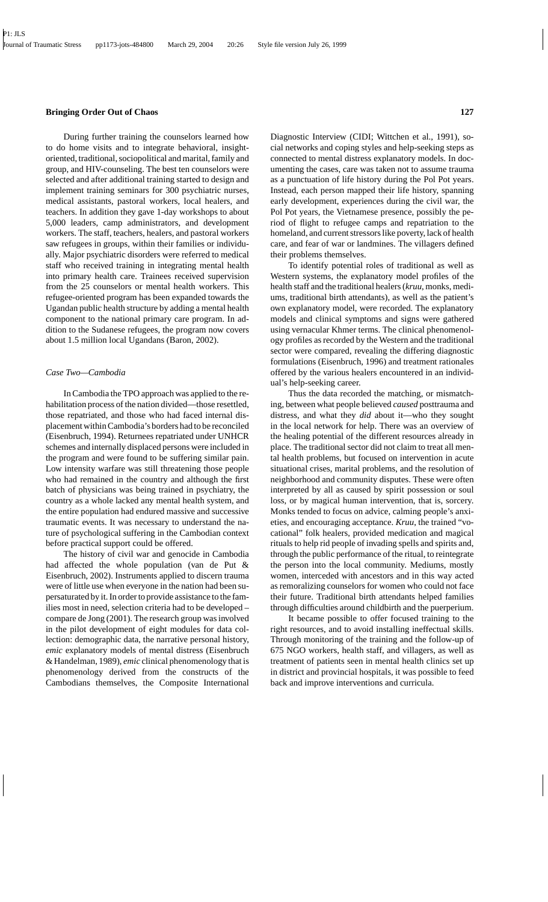#### **Bringing Order Out of Chaos 127**

During further training the counselors learned how to do home visits and to integrate behavioral, insightoriented, traditional, sociopolitical and marital, family and group, and HIV-counseling. The best ten counselors were selected and after additional training started to design and implement training seminars for 300 psychiatric nurses, medical assistants, pastoral workers, local healers, and teachers. In addition they gave 1-day workshops to about 5,000 leaders, camp administrators, and development workers. The staff, teachers, healers, and pastoral workers saw refugees in groups, within their families or individually. Major psychiatric disorders were referred to medical staff who received training in integrating mental health into primary health care. Trainees received supervision from the 25 counselors or mental health workers. This refugee-oriented program has been expanded towards the Ugandan public health structure by adding a mental health component to the national primary care program. In addition to the Sudanese refugees, the program now covers about 1.5 million local Ugandans (Baron, 2002).

# *Case Two—Cambodia*

In Cambodia the TPO approach was applied to the rehabilitation process of the nation divided—those resettled, those repatriated, and those who had faced internal displacement within Cambodia's borders had to be reconciled (Eisenbruch, 1994). Returnees repatriated under UNHCR schemes and internally displaced persons were included in the program and were found to be suffering similar pain. Low intensity warfare was still threatening those people who had remained in the country and although the first batch of physicians was being trained in psychiatry, the country as a whole lacked any mental health system, and the entire population had endured massive and successive traumatic events. It was necessary to understand the nature of psychological suffering in the Cambodian context before practical support could be offered.

The history of civil war and genocide in Cambodia had affected the whole population (van de Put & Eisenbruch, 2002). Instruments applied to discern trauma were of little use when everyone in the nation had been supersaturated by it. In order to provide assistance to the families most in need, selection criteria had to be developed – compare de Jong (2001). The research group was involved in the pilot development of eight modules for data collection: demographic data, the narrative personal history, *emic* explanatory models of mental distress (Eisenbruch & Handelman, 1989), *emic* clinical phenomenology that is phenomenology derived from the constructs of the Cambodians themselves, the Composite International Diagnostic Interview (CIDI; Wittchen et al., 1991), social networks and coping styles and help-seeking steps as

connected to mental distress explanatory models. In documenting the cases, care was taken not to assume trauma as a punctuation of life history during the Pol Pot years. Instead, each person mapped their life history, spanning early development, experiences during the civil war, the Pol Pot years, the Vietnamese presence, possibly the period of flight to refugee camps and repatriation to the homeland, and current stressors like poverty, lack of health care, and fear of war or landmines. The villagers defined their problems themselves.

To identify potential roles of traditional as well as Western systems, the explanatory model profiles of the health staff and the traditional healers (*kruu*, monks, mediums, traditional birth attendants), as well as the patient's own explanatory model, were recorded. The explanatory models and clinical symptoms and signs were gathered using vernacular Khmer terms. The clinical phenomenology profiles as recorded by the Western and the traditional sector were compared, revealing the differing diagnostic formulations (Eisenbruch, 1996) and treatment rationales offered by the various healers encountered in an individual's help-seeking career.

Thus the data recorded the matching, or mismatching, between what people believed *caused* posttrauma and distress, and what they *did* about it—who they sought in the local network for help. There was an overview of the healing potential of the different resources already in place. The traditional sector did not claim to treat all mental health problems, but focused on intervention in acute situational crises, marital problems, and the resolution of neighborhood and community disputes. These were often interpreted by all as caused by spirit possession or soul loss, or by magical human intervention, that is, sorcery. Monks tended to focus on advice, calming people's anxieties, and encouraging acceptance. *Kruu*, the trained "vocational" folk healers, provided medication and magical rituals to help rid people of invading spells and spirits and, through the public performance of the ritual, to reintegrate the person into the local community. Mediums, mostly women, interceded with ancestors and in this way acted as remoralizing counselors for women who could not face their future. Traditional birth attendants helped families through difficulties around childbirth and the puerperium.

It became possible to offer focused training to the right resources, and to avoid installing ineffectual skills. Through monitoring of the training and the follow-up of 675 NGO workers, health staff, and villagers, as well as treatment of patients seen in mental health clinics set up in district and provincial hospitals, it was possible to feed back and improve interventions and curricula.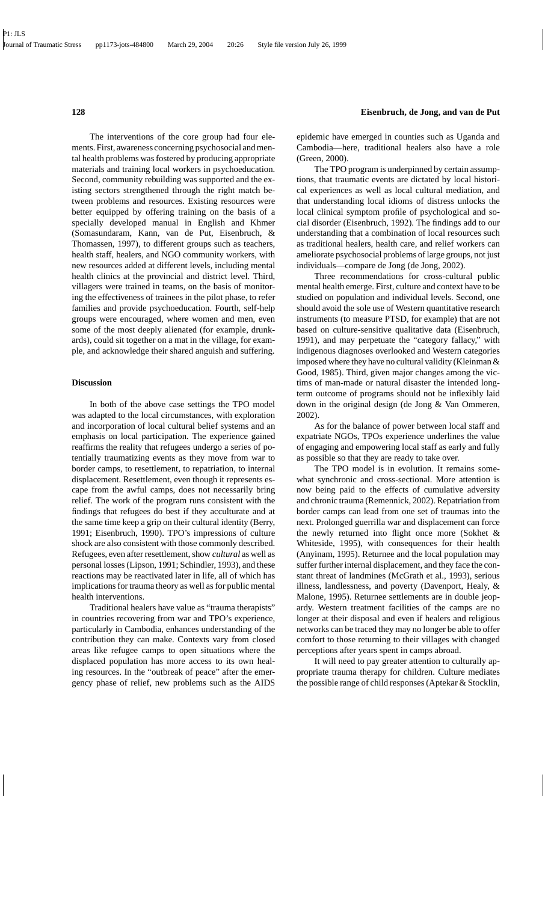The interventions of the core group had four elements. First, awareness concerning psychosocial and mental health problems was fostered by producing appropriate materials and training local workers in psychoeducation. Second, community rebuilding was supported and the existing sectors strengthened through the right match between problems and resources. Existing resources were better equipped by offering training on the basis of a specially developed manual in English and Khmer (Somasundaram, Kann, van de Put, Eisenbruch, & Thomassen, 1997), to different groups such as teachers, health staff, healers, and NGO community workers, with new resources added at different levels, including mental health clinics at the provincial and district level. Third, villagers were trained in teams, on the basis of monitoring the effectiveness of trainees in the pilot phase, to refer families and provide psychoeducation. Fourth, self-help groups were encouraged, where women and men, even some of the most deeply alienated (for example, drunkards), could sit together on a mat in the village, for example, and acknowledge their shared anguish and suffering.

#### **Discussion**

In both of the above case settings the TPO model was adapted to the local circumstances, with exploration and incorporation of local cultural belief systems and an emphasis on local participation. The experience gained reaffirms the reality that refugees undergo a series of potentially traumatizing events as they move from war to border camps, to resettlement, to repatriation, to internal displacement. Resettlement, even though it represents escape from the awful camps, does not necessarily bring relief. The work of the program runs consistent with the findings that refugees do best if they acculturate and at the same time keep a grip on their cultural identity (Berry, 1991; Eisenbruch, 1990). TPO's impressions of culture shock are also consistent with those commonly described. Refugees, even after resettlement, show *cultural* as well as personal losses (Lipson, 1991; Schindler, 1993), and these reactions may be reactivated later in life, all of which has implications for trauma theory as well as for public mental health interventions.

Traditional healers have value as "trauma therapists" in countries recovering from war and TPO's experience, particularly in Cambodia, enhances understanding of the contribution they can make. Contexts vary from closed areas like refugee camps to open situations where the displaced population has more access to its own healing resources. In the "outbreak of peace" after the emergency phase of relief, new problems such as the AIDS

epidemic have emerged in counties such as Uganda and Cambodia—here, traditional healers also have a role (Green, 2000).

The TPO program is underpinned by certain assumptions, that traumatic events are dictated by local historical experiences as well as local cultural mediation, and that understanding local idioms of distress unlocks the local clinical symptom profile of psychological and social disorder (Eisenbruch, 1992). The findings add to our understanding that a combination of local resources such as traditional healers, health care, and relief workers can ameliorate psychosocial problems of large groups, not just individuals—compare de Jong (de Jong, 2002).

Three recommendations for cross-cultural public mental health emerge. First, culture and context have to be studied on population and individual levels. Second, one should avoid the sole use of Western quantitative research instruments (to measure PTSD, for example) that are not based on culture-sensitive qualitative data (Eisenbruch, 1991), and may perpetuate the "category fallacy," with indigenous diagnoses overlooked and Western categories imposed where they have no cultural validity (Kleinman  $\&$ Good, 1985). Third, given major changes among the victims of man-made or natural disaster the intended longterm outcome of programs should not be inflexibly laid down in the original design (de Jong & Van Ommeren, 2002).

As for the balance of power between local staff and expatriate NGOs, TPOs experience underlines the value of engaging and empowering local staff as early and fully as possible so that they are ready to take over.

The TPO model is in evolution. It remains somewhat synchronic and cross-sectional. More attention is now being paid to the effects of cumulative adversity and chronic trauma (Remennick, 2002). Repatriation from border camps can lead from one set of traumas into the next. Prolonged guerrilla war and displacement can force the newly returned into flight once more (Sokhet & Whiteside, 1995), with consequences for their health (Anyinam, 1995). Returnee and the local population may suffer further internal displacement, and they face the constant threat of landmines (McGrath et al., 1993), serious illness, landlessness, and poverty (Davenport, Healy, & Malone, 1995). Returnee settlements are in double jeopardy. Western treatment facilities of the camps are no longer at their disposal and even if healers and religious networks can be traced they may no longer be able to offer comfort to those returning to their villages with changed perceptions after years spent in camps abroad.

It will need to pay greater attention to culturally appropriate trauma therapy for children. Culture mediates the possible range of child responses (Aptekar & Stocklin,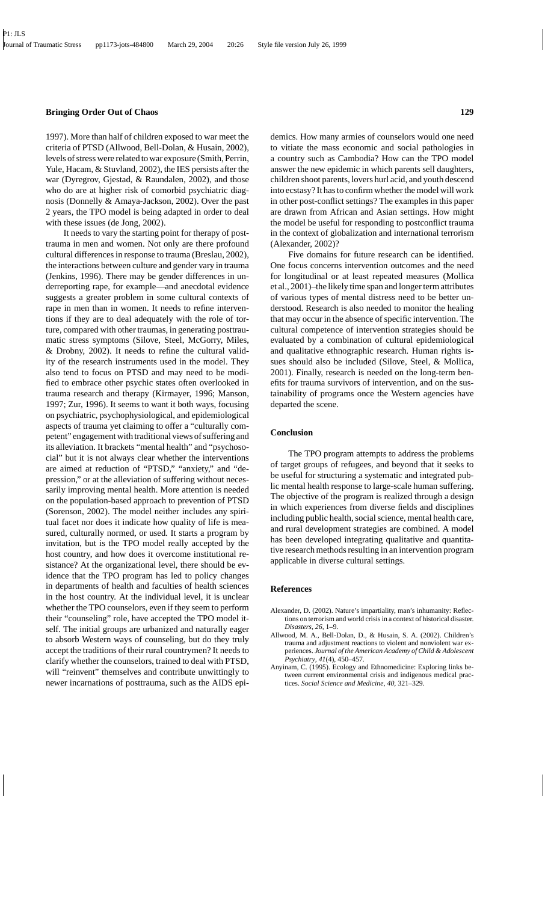1997). More than half of children exposed to war meet the criteria of PTSD (Allwood, Bell-Dolan, & Husain, 2002), levels of stress were related to war exposure (Smith, Perrin, Yule, Hacam, & Stuvland, 2002), the IES persists after the war (Dyregrov, Gjestad, & Raundalen, 2002), and those who do are at higher risk of comorbid psychiatric diagnosis (Donnelly & Amaya-Jackson, 2002). Over the past 2 years, the TPO model is being adapted in order to deal with these issues (de Jong, 2002).

It needs to vary the starting point for therapy of posttrauma in men and women. Not only are there profound cultural differences in response to trauma (Breslau, 2002), the interactions between culture and gender vary in trauma (Jenkins, 1996). There may be gender differences in underreporting rape, for example—and anecdotal evidence suggests a greater problem in some cultural contexts of rape in men than in women. It needs to refine interventions if they are to deal adequately with the role of torture, compared with other traumas, in generating posttraumatic stress symptoms (Silove, Steel, McGorry, Miles, & Drobny, 2002). It needs to refine the cultural validity of the research instruments used in the model. They also tend to focus on PTSD and may need to be modified to embrace other psychic states often overlooked in trauma research and therapy (Kirmayer, 1996; Manson, 1997; Zur, 1996). It seems to want it both ways, focusing on psychiatric, psychophysiological, and epidemiological aspects of trauma yet claiming to offer a "culturally competent" engagement with traditional views of suffering and its alleviation. It brackets "mental health" and "psychosocial" but it is not always clear whether the interventions are aimed at reduction of "PTSD," "anxiety," and "depression," or at the alleviation of suffering without necessarily improving mental health. More attention is needed on the population-based approach to prevention of PTSD (Sorenson, 2002). The model neither includes any spiritual facet nor does it indicate how quality of life is measured, culturally normed, or used. It starts a program by invitation, but is the TPO model really accepted by the host country, and how does it overcome institutional resistance? At the organizational level, there should be evidence that the TPO program has led to policy changes in departments of health and faculties of health sciences in the host country. At the individual level, it is unclear whether the TPO counselors, even if they seem to perform their "counseling" role, have accepted the TPO model itself. The initial groups are urbanized and naturally eager to absorb Western ways of counseling, but do they truly accept the traditions of their rural countrymen? It needs to clarify whether the counselors, trained to deal with PTSD, will "reinvent" themselves and contribute unwittingly to newer incarnations of posttrauma, such as the AIDS epidemics. How many armies of counselors would one need to vitiate the mass economic and social pathologies in a country such as Cambodia? How can the TPO model answer the new epidemic in which parents sell daughters, children shoot parents, lovers hurl acid, and youth descend into ecstasy? It has to confirm whether the model will work in other post-conflict settings? The examples in this paper are drawn from African and Asian settings. How might the model be useful for responding to postconflict trauma in the context of globalization and international terrorism (Alexander, 2002)?

Five domains for future research can be identified. One focus concerns intervention outcomes and the need for longitudinal or at least repeated measures (Mollica et al., 2001)–the likely time span and longer term attributes of various types of mental distress need to be better understood. Research is also needed to monitor the healing that may occur in the absence of specific intervention. The cultural competence of intervention strategies should be evaluated by a combination of cultural epidemiological and qualitative ethnographic research. Human rights issues should also be included (Silove, Steel, & Mollica, 2001). Finally, research is needed on the long-term benefits for trauma survivors of intervention, and on the sustainability of programs once the Western agencies have departed the scene.

# **Conclusion**

The TPO program attempts to address the problems of target groups of refugees, and beyond that it seeks to be useful for structuring a systematic and integrated public mental health response to large-scale human suffering. The objective of the program is realized through a design in which experiences from diverse fields and disciplines including public health, social science, mental health care, and rural development strategies are combined. A model has been developed integrating qualitative and quantitative research methods resulting in an intervention program applicable in diverse cultural settings.

#### **References**

- Alexander, D. (2002). Nature's impartiality, man's inhumanity: Reflections on terrorism and world crisis in a context of historical disaster. *Disasters*, *26,* 1–9.
- Allwood, M. A., Bell-Dolan, D., & Husain, S. A. (2002). Children's trauma and adjustment reactions to violent and nonviolent war experiences. *Journal of the American Academy of Child & Adolescent Psychiatry*, *41*(4), 450–457.
- Anyinam, C. (1995). Ecology and Ethnomedicine: Exploring links between current environmental crisis and indigenous medical practices. *Social Science and Medicine*, *40,* 321–329.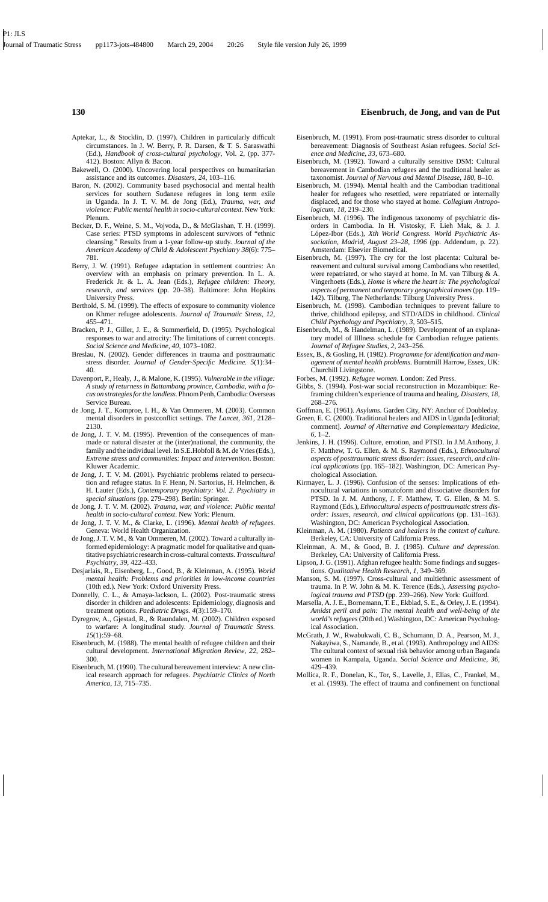- Aptekar, L., & Stocklin, D. (1997). Children in particularly difficult circumstances. In J. W. Berry, P. R. Darsen, & T. S. Saraswathi (Ed.), *Handbook of cross-cultural psychology*, Vol. 2, (pp. 377- 412). Boston: Allyn & Bacon.
- Bakewell, O. (2000). Uncovering local perspectives on humanitarian assistance and its outcomes. *Disasters*, *24,* 103–116.
- Baron, N. (2002). Community based psychosocial and mental health services for southern Sudanese refugees in long term exile in Uganda. In J. T. V. M. de Jong (Ed.), *Trauma, war, and violence: Public mental health in socio-cultural context*. New York: Plenum.
- Becker, D. F., Weine, S. M., Vojvoda, D., & McGlashan, T. H. (1999). Case series: PTSD symptoms in adolescent survivors of "ethnic cleansing." Results from a 1-year follow-up study. *Journal of the American Academy of Child & Adolescent Psychiatry 38*(6): 775– 781.
- Berry, J. W. (1991). Refugee adaptation in settlement countries: An overview with an emphasis on primary prevention. In L. A. Frederick Jr. & L. A. Jean (Eds.), *Refugee children: Theory, research, and services* (pp. 20–38). Baltimore: John Hopkins University Press.
- Berthold, S. M. (1999). The effects of exposure to community violence on Khmer refugee adolescents. *Journal of Traumatic Stress*, *12,* 455–471.
- Bracken, P. J., Giller, J. E., & Summerfield, D. (1995). Psychological responses to war and atrocity: The limitations of current concepts. *Social Science and Medicine*, *40,* 1073–1082.
- Breslau, N. (2002). Gender differences in trauma and posttraumatic stress disorder. *Journal of Gender-Specific Medicine. 5*(1):34– 40.
- Davenport, P., Healy, J., & Malone, K. (1995). *Vulnerable in the village: A study of returness in Battambang province, Cambodia, with a focus on strategies for the landless*. Phnom Penh, Cambodia: Overseas Service Bureau.
- de Jong, J. T., Komproe, I. H., & Van Ommeren, M. (2003). Common mental disorders in postconflict settings. *The Lancet*, *361,* 2128– 2130.
- de Jong, J. T. V. M. (1995). Prevention of the consequences of manmade or natural disaster at the (inter)national, the community, the family and the individual level. In S.E.Hobfoll & M. de Vries (Eds.), *Extreme stress and communities: Impact and intervention*. Boston: Kluwer Academic.
- de Jong, J. T. V. M. (2001). Psychiatric problems related to persecution and refugee status. In F. Henn, N. Sartorius, H. Helmchen, & H. Lauter (Eds.), *Contemporary psychiatry: Vol. 2. Psychiatry in special situations* (pp. 279–298). Berlin: Springer.
- de Jong, J. T. V. M. (2002). *Trauma, war, and violence: Public mental health in socio-cultural context*. New York: Plenum.
- de Jong, J. T. V. M., & Clarke, L. (1996). *Mental health of refugees*. Geneva: World Health Organization.
- de Jong, J. T. V. M., & Van Ommeren, M. (2002). Toward a culturally informed epidemiology: A pragmatic model for qualitative and quantitative psychiatric research in cross-cultural contexts. *Transcultural Psychiatry*, *39,* 422–433.
- Desjarlais, R., Eisenberg, L., Good, B., & Kleinman, A. (1995). *World mental health: Problems and priorities in low-income countries* (10th ed.). New York: Oxford University Press.
- Donnelly, C. L., & Amaya-Jackson, L. (2002). Post-traumatic stress disorder in children and adolescents: Epidemiology, diagnosis and treatment options. *Paediatric Drugs. 4*(3):159–170.
- Dyregrov, A., Gjestad, R., & Raundalen, M. (2002). Children exposed to warfare: A longitudinal study. *Journal of Traumatic Stress. 15*(1):59–68.
- Eisenbruch, M. (1988). The mental health of refugee children and their cultural development. *International Migration Review*, *22,* 282– 300.
- Eisenbruch, M. (1990). The cultural bereavement interview: A new clinical research approach for refugees. *Psychiatric Clinics of North America*, *13,* 715–735.
- Eisenbruch, M. (1991). From post-traumatic stress disorder to cultural bereavement: Diagnosis of Southeast Asian refugees. *Social Science and Medicine*, *33,* 673–680.
- Eisenbruch, M. (1992). Toward a culturally sensitive DSM: Cultural bereavement in Cambodian refugees and the traditional healer as taxonomist. *Journal of Nervous and Mental Disease*, *180,* 8–10.
- Eisenbruch, M. (1994). Mental health and the Cambodian traditional healer for refugees who resettled, were repatriated or internally displaced, and for those who stayed at home. *Collegium Antropologicum*, *18,* 219–230.
- Eisenbruch, M. (1996). The indigenous taxonomy of psychiatric disorders in Cambodia. In H. Vistosky, F. Lieh Mak, & J. J. López-Ibor (Eds.), *Xth World Congress. World Psychiatric Association, Madrid, August 23–28, 1996* (pp. Addendum, p. 22). Amsterdam: Elsevier Biomedical.
- Eisenbruch, M. (1997). The cry for the lost placenta: Cultural bereavement and cultural survival among Cambodians who resettled, were repatriated, or who stayed at home. In M. van Tilburg & A. Vingerhoets (Eds.), *Home is where the heart is: The psychological aspects of permanent and temporary geographical moves*(pp. 119– 142). Tilburg, The Netherlands: Tilburg University Press.
- Eisenbruch, M. (1998). Cambodian techniques to prevent failure to thrive, childhood epilepsy, and STD/AIDS in childhood. *Clinical Child Psychology and Psychiatry*, *3,* 503–515.
- Eisenbruch, M., & Handelman, L. (1989). Development of an explanatory model of lIllness schedule for Cambodian refugee patients. *Journal of Refugee Studies*, *2,* 243–256.
- Essex, B., & Gosling, H. (1982). *Programme for identification and management of mental health problems*. Burntmill Harrow, Essex, UK: Churchill Livingstone.
- Forbes, M. (1992). *Refugee women*. London: Zed Press.
- Gibbs, S. (1994). Post-war social reconstruction in Mozambique: Reframing children's experience of trauma and healing. *Disasters*, *18,* 268–276.
- Goffman, E. (1961). *Asylums*. Garden City, NY: Anchor of Doubleday.
- Green, E. C. (2000). Traditional healers and AIDS in Uganda [editorial; comment]. *Journal of Alternative and Complementary Medicine*, *6,* 1–2.
- Jenkins, J. H. (1996). Culture, emotion, and PTSD. In J.M.Anthony, J. F. Matthew, T. G. Ellen, & M. S. Raymond (Eds.), *Ethnocultural aspects of posttraumatic stress disorder: Issues, research, and clinical applications* (pp. 165–182). Washington, DC: American Psychological Association.
- Kirmayer, L. J. (1996). Confusion of the senses: Implications of ethnocultural variations in somatoform and dissociative disorders for PTSD. In J. M. Anthony, J. F. Matthew, T. G. Ellen, & M. S. Raymond (Eds.), *Ethnocultural aspects of posttraumatic stress disorder: Issues, research, and clinical applications* (pp. 131–163). Washington, DC: American Psychological Association.
- Kleinman, A. M. (1980). *Patients and healers in the context of culture*. Berkeley, CA: University of California Press.
- Kleinman, A. M., & Good, B. J. (1985). *Culture and depression*. Berkeley, CA: University of California Press.
- Lipson, J. G. (1991). Afghan refugee health: Some findings and suggestions. *Qualitative Health Research*, *1,* 349–369.
- Manson, S. M. (1997). Cross-cultural and multiethnic assessment of trauma. In P. W. John & M. K. Terence (Eds.), *Assessing psychological trauma and PTSD* (pp. 239–266). New York: Guilford.
- Marsella, A. J. E., Bornemann, T. E., Ekblad, S. E., & Orley, J. E. (1994). *Amidst peril and pain: The mental health and well-being of the world's refugees* (20th ed.) Washington, DC: American Psychological Association.
- McGrath, J. W., Rwabukwali, C. B., Schumann, D. A., Pearson, M. J., Nakayiwa, S., Namande, B., et al. (1993). Anthropology and AIDS: The cultural context of sexual risk behavior among urban Baganda women in Kampala, Uganda. *Social Science and Medicine*, *36,* 429–439.
- Mollica, R. F., Donelan, K., Tor, S., Lavelle, J., Elias, C., Frankel, M., et al. (1993). The effect of trauma and confinement on functional